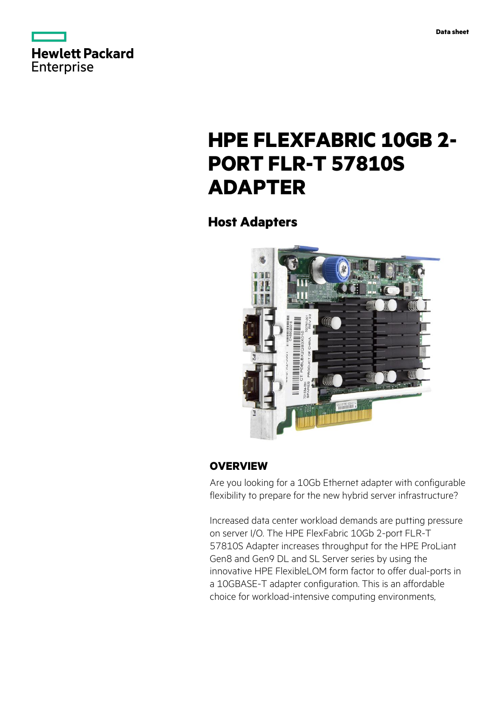



# **HPE FLEXFABRIC 10GB 2- PORT FLR-T 57810S ADAPTER**

### **Host Adapters**



### **OVERVIEW**

Are you looking for a 10Gb Ethernet adapter with configurable flexibility to prepare for the new hybrid server infrastructure?

Increased data center workload demands are putting pressure on server I/O. The HPE FlexFabric 10Gb 2-port FLR-T 57810S Adapter increases throughput for the HPE ProLiant Gen8 and Gen9 DL and SL Server series by using the innovative HPE FlexibleLOM form factor to offer dual-ports in a 10GBASE-T adapter configuration. This is an affordable choice for workload-intensive computing environments,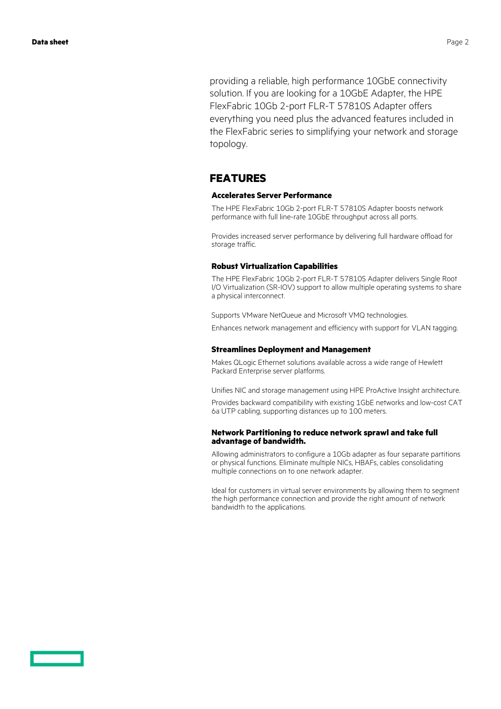providing a reliable, high performance 10GbE connectivity solution. If you are looking for a 10GbE Adapter, the HPE FlexFabric 10Gb 2-port FLR-T 57810S Adapter offers everything you need plus the advanced features included in the FlexFabric series to simplifying your network and storage topology.

#### **FEATURES**

#### **Accelerates Server Performance**

The HPE FlexFabric 10Gb 2-port FLR-T 57810S Adapter boosts network performance with full line-rate 10GbE throughput across all ports.

Provides increased server performance by delivering full hardware offload for storage traffic.

#### **Robust Virtualization Capabilities**

The HPE FlexFabric 10Gb 2-port FLR-T 57810S Adapter delivers Single Root I/O Virtualization (SR-IOV) support to allow multiple operating systems to share a physical interconnect.

Supports VMware NetQueue and Microsoft VMQ technologies.

Enhances network management and efficiency with support for VLAN tagging.

#### **Streamlines Deployment and Management**

Makes QLogic Ethernet solutions available across a wide range of Hewlett Packard Enterprise server platforms.

Unifies NIC and storage management using HPE ProActive Insight architecture.

Provides backward compatibility with existing 1GbE networks and low-cost CAT 6a UTP cabling, supporting distances up to 100 meters.

#### **Network Partitioning to reduce network sprawl and take full advantage of bandwidth.**

Allowing administrators to configure a 10Gb adapter as four separate partitions or physical functions. Eliminate multiple NICs, HBAFs, cables consolidating multiple connections on to one network adapter.

Ideal for customers in virtual server environments by allowing them to segment the high performance connection and provide the right amount of network bandwidth to the applications.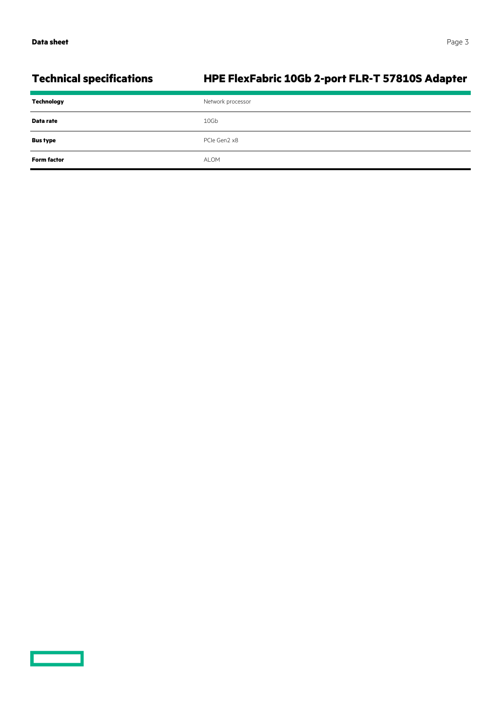$\overline{\phantom{0}}$ 

## **Technical specifications HPE FlexFabric 10Gb 2-port FLR-T 57810S Adapter**

| Technology         | Network processor |
|--------------------|-------------------|
| Data rate          | 10Gb              |
| <b>Bus type</b>    | PCIe Gen2 x8      |
| <b>Form factor</b> | <b>ALOM</b>       |